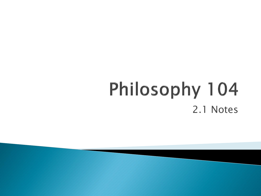## Philosophy 104 2.1 Notes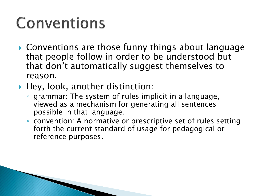#### Conventions

- ▶ Conventions are those funny things about language that people follow in order to be understood but that don't automatically suggest themselves to reason.
- $\blacktriangleright$  Hey, look, another distinction:
	- grammar: The system of rules implicit in a language, viewed as a mechanism for generating all sentences possible in that language.
	- convention: A normative or prescriptive set of rules setting forth the current standard of usage for pedagogical or reference purposes.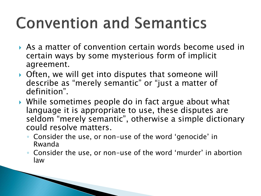## **Convention and Semantics**

- As a matter of convention certain words become used in certain ways by some mysterious form of implicit agreement.
- ▶ Often, we will get into disputes that someone will describe as "merely semantic" or "just a matter of definition".
- While sometimes people do in fact argue about what language it is appropriate to use, these disputes are seldom "merely semantic", otherwise a simple dictionary could resolve matters.
	- Consider the use, or non-use of the word 'genocide' in Rwanda
	- Consider the use, or non-use of the word 'murder' in abortion law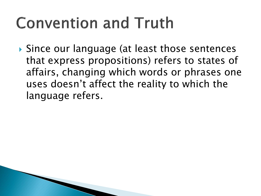#### **Convention and Truth**

 Since our language (at least those sentences that express propositions) refers to states of affairs, changing which words or phrases one uses doesn't affect the reality to which the language refers.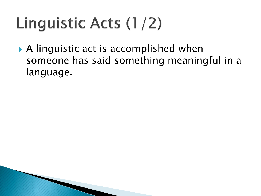# Linguistic Acts (1/2)

 A linguistic act is accomplished when someone has said something meaningful in a language.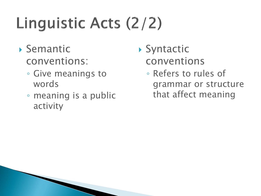# Linguistic Acts (2/2)

- Semantic conventions:
	- Give meanings to words
	- meaning is a public activity
- ▶ Syntactic conventions
	- Refers to rules of grammar or structure that affect meaning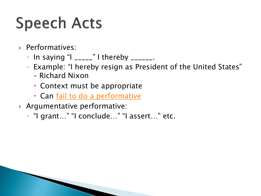## **Speech Acts**

- Performatives:
	- $\circ$  In saying "I \_\_\_\_\_" I thereby \_\_\_\_\_\_.
	- Example: "I hereby resign as President of the United States"
		- Richard Nixon
		- Context must be appropriate
		- Can <u>[fail to do a performative](https://www.youtube.com/watch?v=HuGIgf-ICHM)</u>
- Argumentative performative:
	- "I grant…" "I conclude…" "I assert…" etc.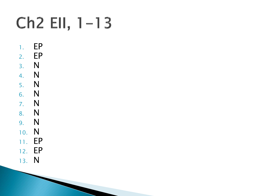## $Ch2$  EII,  $1-13$

- 1. EP
- 2. EP 3. N
- 4. N
- 5. N
- 6. N
- 7. N 8. N
- 9. N 10. N
- 11. EP 12. EP
- 13. N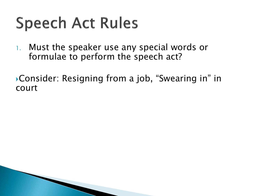1. Must the speaker use any special words or formulae to perform the speech act?

Consider: Resigning from a job, "Swearing in" in court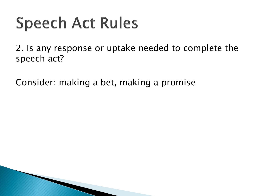2. Is any response or uptake needed to complete the speech act?

Consider: making a bet, making a promise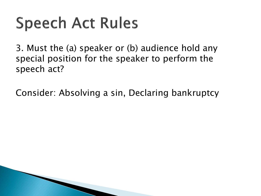3. Must the (a) speaker or (b) audience hold any special position for the speaker to perform the speech act?

Consider: Absolving a sin, Declaring bankruptcy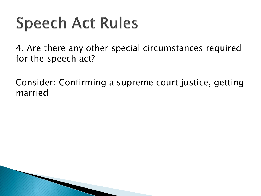4. Are there any other special circumstances required for the speech act?

Consider: Confirming a supreme court justice, getting married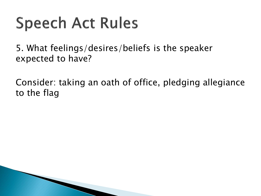5. What feelings/desires/beliefs is the speaker expected to have?

Consider: taking an oath of office, pledging allegiance to the flag